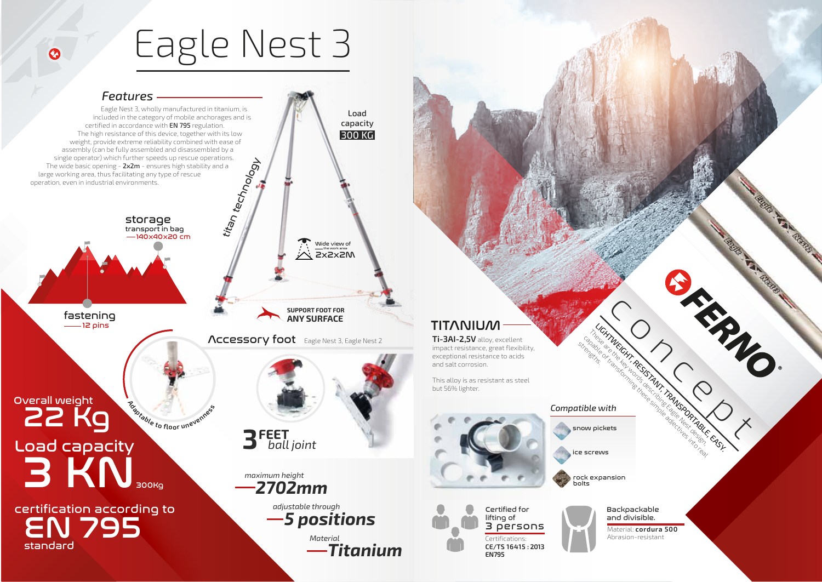## Eagle Nest 3

 $\odot$ 



### **TITANIUM**

**Ti-3AI-2,5V** alloy, excellent impact resistance, great flexibility, exceptional resistance to acids and salt corrosion.

This alloy is as resistant as steel but 56% lighter.



3 persons

**CE/TS 16415 : 2013**

**EN795**

### *Compatible with*

Concept Reservation Concept Reservation Concept Reservation Concept Concept Concept Concept Concept Concept Concept Concept Concept Concept Concept Concept Concept Concept Concept Concept Concept Concept Concept Concept Co LIGHTMECHT, RESISTANT, TRANSPORTABLE, EASY. capable of transforming the simple and the capable of the capable of the capable of the real of the capable of the capable of the capable of the capable of the capable of the capable of the capable of the capable of the ca snow pickets

ice screws

street is a street in

rock expansion bolts



and divisible. Material: **cordura 500** **ARRANGE**